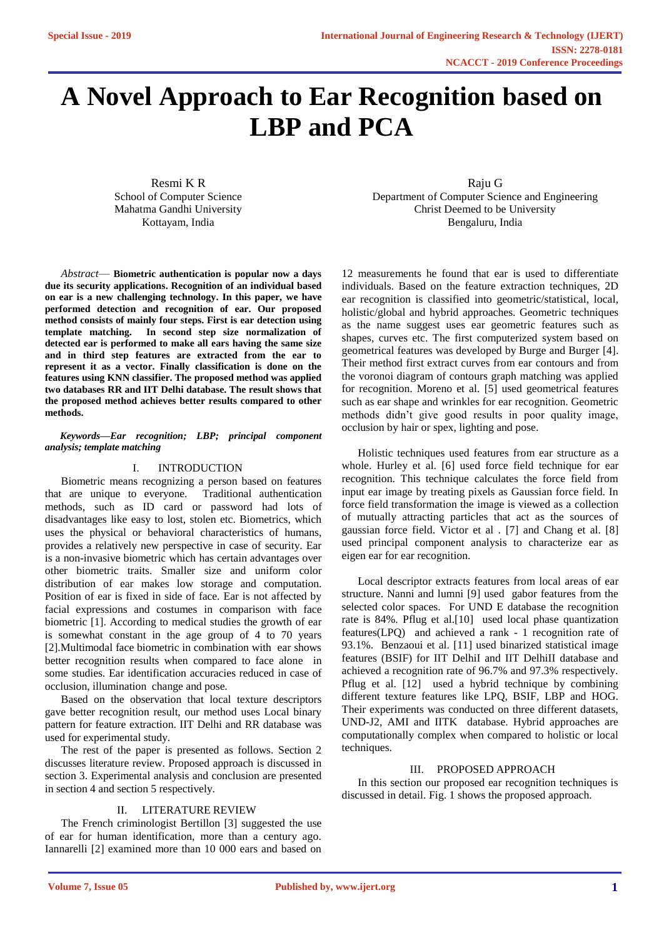# **A Novel Approach to Ear Recognition based on LBP and PCA**

Resmi K R School of Computer Science Mahatma Gandhi University Kottayam, India

*Abstract*— **Biometric authentication is popular now a days due its security applications. Recognition of an individual based on ear is a new challenging technology. In this paper, we have performed detection and recognition of ear. Our proposed method consists of mainly four steps. First is ear detection using template matching. In second step size normalization of detected ear is performed to make all ears having the same size and in third step features are extracted from the ear to represent it as a vector. Finally classification is done on the features using KNN classifier. The proposed method was applied two databases RR and IIT Delhi database. The result shows that the proposed method achieves better results compared to other methods.**

### *Keywords—Ear recognition; LBP; principal component analysis; template matching*

## I. INTRODUCTION

Biometric means recognizing a person based on features that are unique to everyone. Traditional authentication methods, such as ID card or password had lots of disadvantages like easy to lost, stolen etc. Biometrics, which uses the physical or behavioral characteristics of humans, provides a relatively new perspective in case of security. Ear is a non-invasive biometric which has certain advantages over other biometric traits. Smaller size and uniform color distribution of ear makes low storage and computation. Position of ear is fixed in side of face. Ear is not affected by facial expressions and costumes in comparison with face biometric [1]. According to medical studies the growth of ear is somewhat constant in the age group of 4 to 70 years [2].Multimodal face biometric in combination with ear shows better recognition results when compared to face alone in some studies. Ear identification accuracies reduced in case of occlusion, illumination change and pose.

Based on the observation that local texture descriptors gave better recognition result, our method uses Local binary pattern for feature extraction. IIT Delhi and RR database was used for experimental study.

The rest of the paper is presented as follows. Section 2 discusses literature review. Proposed approach is discussed in section 3. Experimental analysis and conclusion are presented in section 4 and section 5 respectively.

## II. LITERATURE REVIEW

The French criminologist Bertillon [3] suggested the use of ear for human identification, more than a century ago. Iannarelli [2] examined more than 10 000 ears and based on

Raju G Department of Computer Science and Engineering Christ Deemed to be University Bengaluru, India

12 measurements he found that ear is used to differentiate individuals. Based on the feature extraction techniques, 2D ear recognition is classified into geometric/statistical, local, holistic/global and hybrid approaches. Geometric techniques as the name suggest uses ear geometric features such as shapes, curves etc. The first computerized system based on geometrical features was developed by Burge and Burger [4]. Their method first extract curves from ear contours and from the voronoi diagram of contours graph matching was applied for recognition. Moreno et al. [5] used geometrical features such as ear shape and wrinkles for ear recognition. Geometric methods didn't give good results in poor quality image, occlusion by hair or spex, lighting and pose.

Holistic techniques used features from ear structure as a whole. Hurley et al. [6] used force field technique for ear recognition. This technique calculates the force field from input ear image by treating pixels as Gaussian force field. In force field transformation the image is viewed as a collection of mutually attracting particles that act as the sources of gaussian force field. Victor et al . [7] and Chang et al. [8] used principal component analysis to characterize ear as eigen ear for ear recognition.

Local descriptor extracts features from local areas of ear structure. Nanni and lumni [9] used gabor features from the selected color spaces. For UND E database the recognition rate is 84%. Pflug et al.[10] used local phase quantization features(LPQ) and achieved a rank - 1 recognition rate of 93.1%. Benzaoui et al. [11] used binarized statistical image features (BSIF) for IIT DelhiI and IIT DelhiII database and achieved a recognition rate of 96.7% and 97.3% respectively. Pflug et al. [12] used a hybrid technique by combining different texture features like LPQ, BSIF, LBP and HOG. Their experiments was conducted on three different datasets, UND-J2, AMI and IITK database. Hybrid approaches are computationally complex when compared to holistic or local techniques.

# III. PROPOSED APPROACH

In this section our proposed ear recognition techniques is discussed in detail. Fig. 1 shows the proposed approach.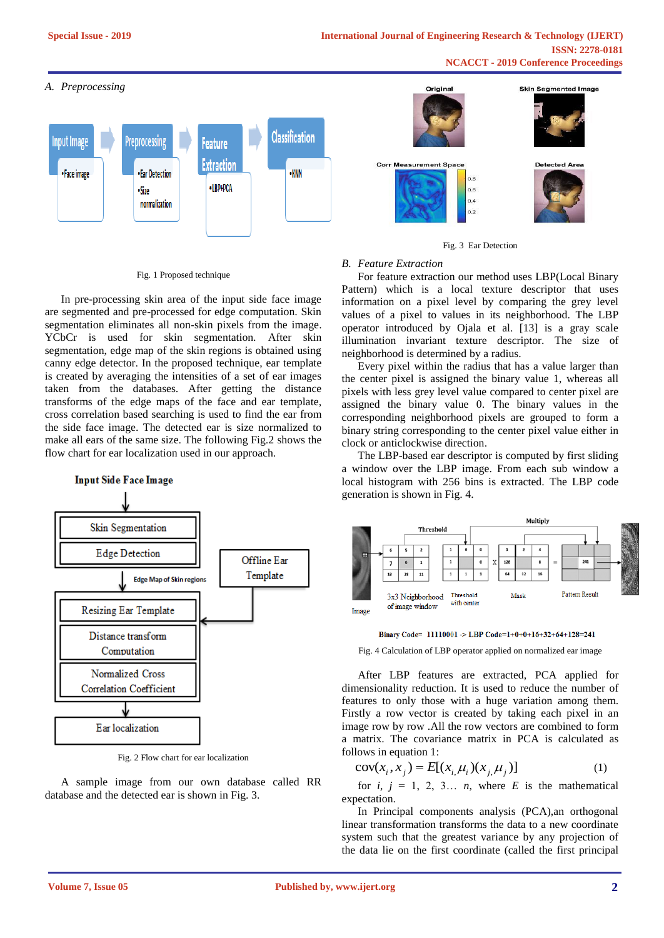## *A. Preprocessing*



#### Fig. 1 Proposed technique

In pre-processing skin area of the input side face image are segmented and pre-processed for edge computation. Skin segmentation eliminates all non-skin pixels from the image. YCbCr is used for skin segmentation. After skin segmentation, edge map of the skin regions is obtained using canny edge detector. In the proposed technique, ear template is created by averaging the intensities of a set of ear images taken from the databases. After getting the distance transforms of the edge maps of the face and ear template, cross correlation based searching is used to find the ear from the side face image. The detected ear is size normalized to make all ears of the same size. The following Fig.2 shows the flow chart for ear localization used in our approach.



Fig. 2 Flow chart for ear localization

A sample image from our own database called RR database and the detected ear is shown in Fig. 3.



Fig. 3 Ear Detection

# *B. Feature Extraction*

For feature extraction our method uses LBP(Local Binary Pattern) which is a local texture descriptor that uses information on a pixel level by comparing the grey level values of a pixel to values in its neighborhood. The LBP operator introduced by Ojala et al. [13] is a gray scale illumination invariant texture descriptor. The size of neighborhood is determined by a radius.

Every pixel within the radius that has a value larger than the center pixel is assigned the binary value 1, whereas all pixels with less grey level value compared to center pixel are assigned the binary value 0. The binary values in the corresponding neighborhood pixels are grouped to form a binary string corresponding to the center pixel value either in clock or anticlockwise direction.

The LBP-based ear descriptor is computed by first sliding a window over the LBP image. From each sub window a local histogram with 256 bins is extracted. The LBP code generation is shown in Fig. 4.



Binary Code= 11110001 -> LBP Code=1+0+0+16+32+64+128=241

Fig. 4 Calculation of LBP operator applied on normalized ear image

After LBP features are extracted, PCA applied for dimensionality reduction. It is used to reduce the number of features to only those with a huge variation among them. Firstly a row vector is created by taking each pixel in an image row by row .All the row vectors are combined to form a matrix. The covariance matrix in PCA is calculated as follows in equation 1:

$$
cov(x_i, x_j) = E[(x_i, \mu_i)(x_j, \mu_j)]
$$
 (1)

for  $i, j = 1, 2, 3... n$ , where *E* is the mathematical expectation.

In Principal components analysis (PCA),an orthogonal linear transformation transforms the data to a new coordinate system such that the greatest variance by any projection of the data lie on the first coordinate (called the first principal